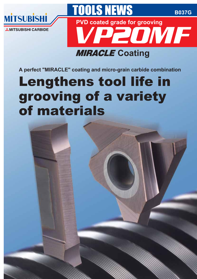

# **MIRACLE Coating**

**A perfect "MIRACLE" coating and micro-grain carbide combination**

# Lengthens tool life in<br>grooving of a variety of materials

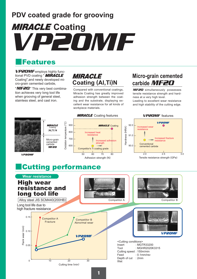# **PDV coated grade for grooving** VP20MF **MIRACLE Coating**

# **Features**

VP20MF employs highly functional PVD coating " **MIRACLE** Coating",and newly developed micro-grain cemented carbide,

"MF20." This very best combination achieves very long tool life when grooving of general steel, stainless steel, and cast iron.

# **MIRACLE Coating (Al,Ti)N**

Compared with conventional coatings, Miracle Coating has greatly improved adhesion strength between the coating and the substrate, displaying excellent wear resistance for all kinds of workpiece materials.

## **Micro-grain cemented carbide** MF20

MF20 simultaneously possesses tensile resistance strength and hardness at a very high level.

Leading to excellent wear resistance and high stability of the cutting edge.



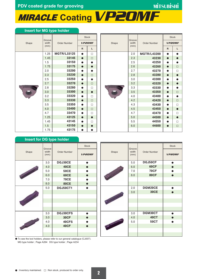PDV coated grade for grooving<br> **MIRACLE Coating VP20MF** 

## **Insert for MG type holder**

|       |                                                                                                                                            |                     | <b>Stock</b> |               |
|-------|--------------------------------------------------------------------------------------------------------------------------------------------|---------------------|--------------|---------------|
| Shape | width                                                                                                                                      | <b>Order Number</b> |              | <b>VP2OMF</b> |
|       | Groove<br>(mm)<br>1.25<br>1.45<br>1.5<br>1.75<br>2.0<br>2.3<br>2.5<br>2.7<br>2.8<br>3.0<br>3.2<br>3.3<br>3.5<br>4.0<br>4.7<br>1.25<br>1.45 |                     | $\mathsf{R}$ | L             |
|       |                                                                                                                                            | <b>MGTR/L33125</b>  |              | □             |
|       |                                                                                                                                            | 33145               | $\bullet$    | $\Box$        |
|       |                                                                                                                                            | 33150               | $\bullet$    | $\bullet$     |
|       |                                                                                                                                            | 33175               | $\bullet$    | $\bullet$     |
|       |                                                                                                                                            | 33200               | $\bullet$    | $\bullet$     |
|       |                                                                                                                                            | 33230               | $\bullet$    | $\Box$        |
|       |                                                                                                                                            | 33250               | $\bullet$    | $\bullet$     |
|       |                                                                                                                                            | 33270               | $\bullet$    | $\Box$        |
|       |                                                                                                                                            | 33280               | $\bullet$    | $\Box$        |
|       |                                                                                                                                            | 33300               | $\bullet$    | $\bullet$     |
|       |                                                                                                                                            | 33320               | $\bullet$    | $\Box$        |
|       |                                                                                                                                            | 33330               | $\bullet$    | $\Box$        |
|       |                                                                                                                                            | 33350               | $\bullet$    | $\Box$        |
|       |                                                                                                                                            | 33400               | $\bullet$    | $\Box$        |
|       |                                                                                                                                            | 33470               | $\bullet$    | $\Box$        |
|       |                                                                                                                                            | 43125               | $\bullet$    | $\bullet$     |
|       |                                                                                                                                            | 43145               | $\bullet$    | $\Box$        |
|       | 1.5                                                                                                                                        | 43150               | $\bullet$    | $\bullet$     |
|       | 1.75                                                                                                                                       | 43175               |              |               |

|       |                                                                                                                                                       |                    | <b>Stock</b> |               |
|-------|-------------------------------------------------------------------------------------------------------------------------------------------------------|--------------------|--------------|---------------|
| Shape | Groove<br>width<br>(mm)<br>2.0<br>2.3<br>2.5<br>2.6<br>2.7<br>2.8<br>3.0<br>3.2<br>3.3<br>3.5<br>4.0<br>4.2<br>4.3<br>4.5<br>4.7<br>5.0<br>5.5<br>6.0 | Order Number       |              | <b>VP2OMF</b> |
|       |                                                                                                                                                       |                    | $\mathsf{R}$ | L             |
|       |                                                                                                                                                       | <b>MGTR/L43200</b> | n            |               |
|       |                                                                                                                                                       | 43230              | $\bullet$    | $\bullet$     |
|       |                                                                                                                                                       | 43250              | $\bullet$    | $\bullet$     |
|       |                                                                                                                                                       | 43260              | $\bullet$    | $\Box$        |
|       |                                                                                                                                                       | 43270              | $\bullet$    | $\Box$        |
|       |                                                                                                                                                       | 43280              | $\bullet$    | $\bullet$     |
|       |                                                                                                                                                       | 43300              | $\bullet$    | $\bullet$     |
|       |                                                                                                                                                       | 43320              | $\bullet$    | $\bullet$     |
|       |                                                                                                                                                       | 43330              | $\bullet$    | $\bullet$     |
|       |                                                                                                                                                       | 43350              | $\bullet$    | $\Box$        |
|       |                                                                                                                                                       | 43400              | $\bullet$    | $\bullet$     |
|       |                                                                                                                                                       | 43420              | $\bullet$    | $\Box$        |
|       |                                                                                                                                                       | 43430              | $\bullet$    | $\Box$        |
|       |                                                                                                                                                       | 43450              | $\bullet$    | $\bullet$     |
|       |                                                                                                                                                       | 43470              | $\bullet$    | $\Box$        |
|       |                                                                                                                                                       | 44500              | $\bullet$    | $\bullet$     |
|       |                                                                                                                                                       | 44550              | Ŏ            | $\Box$        |
|       |                                                                                                                                                       | 44600              |              | $\Box$        |
|       |                                                                                                                                                       |                    |              |               |

| <b>Insert for DG type holder</b> |                         |                     |                               |     |
|----------------------------------|-------------------------|---------------------|-------------------------------|-----|
| Shape                            | Groove<br>width<br>(mm) | <b>Order Number</b> | <b>Stock</b><br><b>VP2OMF</b> | Sha |
|                                  | 3.0                     | DGJ30CE             |                               |     |
|                                  | 4.0                     | <b>40CE</b>         |                               |     |
|                                  | 5.0                     | <b>50CE</b>         |                               |     |
|                                  | 6.0                     | <b>60CE</b>         |                               |     |
|                                  | 7.0                     | <b>70CE</b>         |                               |     |
|                                  | 8.0                     | <b>80CE</b>         |                               |     |
|                                  | 5.0                     | <b>DGJ50CT1</b>     |                               |     |
|                                  |                         |                     |                               |     |
|                                  |                         |                     |                               |     |
|                                  | 3.0                     | <b>DGJ30CFS</b>     |                               |     |
|                                  | 3.0                     | <b>30CF</b>         |                               |     |
|                                  | 4.0                     | 40CFS               |                               |     |
|                                  | 4.0                     | 40CF                |                               |     |
|                                  |                         |                     |                               |     |
|                                  |                         |                     |                               |     |

| ● To see the tool holders, please refer to our general catalogue (CJ007). |  |  |
|---------------------------------------------------------------------------|--|--|
| MG type holder; Page A264 DG type holder; Page A234                       |  |  |

|       |                         |                     | <b>Stock</b>  |
|-------|-------------------------|---------------------|---------------|
| Shape | Groove<br>width<br>(mm) | <b>Order Number</b> | <b>VP20MF</b> |
|       | 5.0                     | DGJ50CF             |               |
|       | 6.0                     | 60CF                |               |
|       | 7.0                     | <b>70CF</b>         |               |
|       | 8.0                     | <b>80CF</b>         |               |
|       |                         |                     |               |
|       |                         |                     |               |
|       | 2.0                     | DGM20CE             |               |
|       | 3.0                     | <b>30CE</b>         |               |
|       |                         |                     |               |
|       |                         |                     |               |
|       |                         |                     |               |
|       |                         |                     |               |
|       | 3.0                     | DGM30CT             |               |
|       | 4.0                     | <b>40CT</b>         |               |
|       | 5.0                     | <b>50CT</b>         |               |
|       |                         |                     |               |
|       |                         |                     |               |
|       |                         |                     |               |